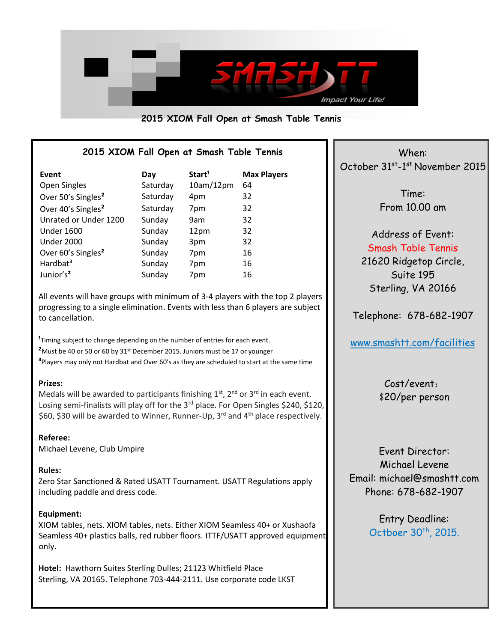

## **2015 XIOM Fall Open at Smash Table Tennis**

## **2015 XIOM Fall Open at Smash Table Tennis**

| Event                          | Day      | Start <sup>1</sup> | <b>Max Players</b> |
|--------------------------------|----------|--------------------|--------------------|
| Open Singles                   | Saturday | 10am/12pm          | 64                 |
| Over 50's Singles <sup>2</sup> | Saturday | 4pm                | 32                 |
| Over 40's Singles <sup>2</sup> | Saturday | 7pm                | 32                 |
| Unrated or Under 1200          | Sunday   | 9am                | 32                 |
| <b>Under 1600</b>              | Sunday   | 12pm               | 32                 |
| <b>Under 2000</b>              | Sunday   | 3pm                | 32                 |
| Over 60's Singles <sup>2</sup> | Sunday   | 7pm                | 16                 |
| Hardbat <sup>3</sup>           | Sunday   | 7pm                | 16                 |
| Junior's <sup>2</sup>          | Sunday   | 7pm                | 16                 |

All events will have groups with minimum of 3-4 players with the top 2 players progressing to a single elimination. Events with less than 6 players are subject to cancellation.

<sup>1</sup>Timing subject to change depending on the number of entries for each event. **²**Must be 40 or 50 or 60 by 31st December 2015. Juniors must be 17 or younger **³**Players may only not Hardbat and Over 60's as they are scheduled to start at the same time

### **Prizes:**

Medals will be awarded to participants finishing  $1<sup>st</sup>$ ,  $2<sup>nd</sup>$  or  $3<sup>rd</sup>$  in each event. Losing semi-finalists will play off for the 3<sup>rd</sup> place. For Open Singles \$240, \$120, \$60, \$30 will be awarded to Winner, Runner-Up, 3<sup>rd</sup> and 4<sup>th</sup> place respectively.

### **Referee:**

Michael Levene, Club Umpire

#### **Rules:**

Zero Star Sanctioned & Rated USATT Tournament. USATT Regulations apply including paddle and dress code.

### **Equipment:**

XIOM tables, nets. XIOM tables, nets. Either XIOM Seamless 40+ or Xushaofa Seamless 40+ plastics balls, red rubber floors. ITTF/USATT approved equipment only.

**Hotel:** Hawthorn Suites Sterling Dulles; 21123 Whitfield Place Sterling, VA 20165. Telephone 703-444-2111. Use corporate code LKST

When: October 31<sup>st</sup>-1<sup>st</sup> November 2015

> Time: From 10.00 am

Address of Event: Smash Table Tennis [21620 Ridgetop Circle,](https://www.google.com/maps/preview?saddr=&daddr=21620+Ridgetop+Circle,+Sterling,+VA+20166,+USA&pw=0) [Suite 195](https://www.google.com/maps/preview?saddr=&daddr=21620+Ridgetop+Circle,+Sterling,+VA+20166,+USA&pw=0) [Sterling, VA 20166](https://www.google.com/maps/preview?saddr=&daddr=21620+Ridgetop+Circle,+Sterling,+VA+20166,+USA&pw=0)

Telephone: 678-682-1907

[www.smashtt.com/facilities](http://www.smashtt.com/facilities)

Cost/event: \$20/per person

Event Director: Michael Levene Email: michael@smashtt.com Phone: 678-682-1907

> Entry Deadline: Octboer 30<sup>th</sup>, 2015.